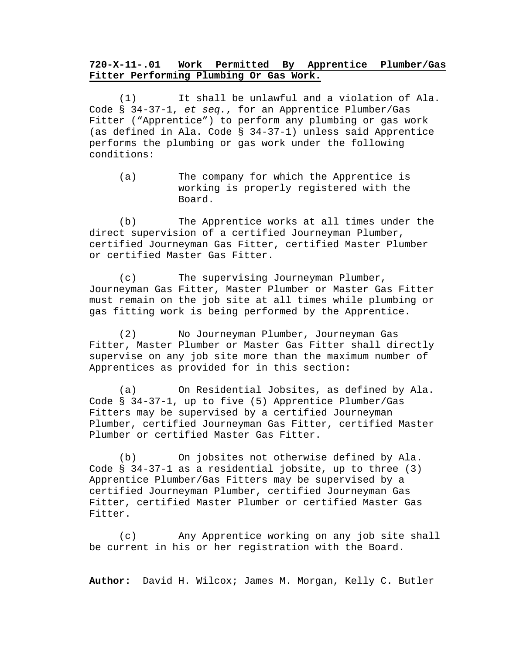## **720-X-11-.01 Work Permitted By Apprentice Plumber/Gas Fitter Performing Plumbing Or Gas Work.**

(1) It shall be unlawful and a violation of Ala. Code § 34-37-1, *et seq.*, for an Apprentice Plumber/Gas Fitter ("Apprentice") to perform any plumbing or gas work (as defined in Ala. Code § 34-37-1) unless said Apprentice performs the plumbing or gas work under the following conditions:

(a) The company for which the Apprentice is working is properly registered with the Board.

(b) The Apprentice works at all times under the direct supervision of a certified Journeyman Plumber, certified Journeyman Gas Fitter, certified Master Plumber or certified Master Gas Fitter.

(c) The supervising Journeyman Plumber, Journeyman Gas Fitter, Master Plumber or Master Gas Fitter must remain on the job site at all times while plumbing or gas fitting work is being performed by the Apprentice.

(2) No Journeyman Plumber, Journeyman Gas Fitter, Master Plumber or Master Gas Fitter shall directly supervise on any job site more than the maximum number of Apprentices as provided for in this section:

(a) On Residential Jobsites, as defined by Ala. Code § 34-37-1, up to five (5) Apprentice Plumber/Gas Fitters may be supervised by a certified Journeyman Plumber, certified Journeyman Gas Fitter, certified Master Plumber or certified Master Gas Fitter.

(b) On jobsites not otherwise defined by Ala. Code § 34-37-1 as a residential jobsite, up to three (3) Apprentice Plumber/Gas Fitters may be supervised by a certified Journeyman Plumber, certified Journeyman Gas Fitter, certified Master Plumber or certified Master Gas Fitter.

(c) Any Apprentice working on any job site shall be current in his or her registration with the Board.

**Author:** David H. Wilcox; James M. Morgan, Kelly C. Butler